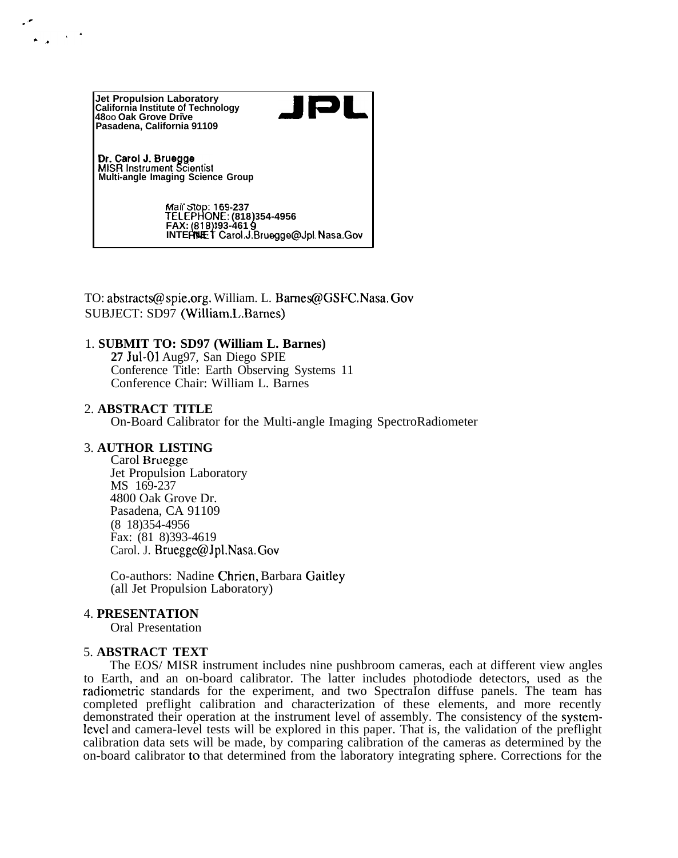

TO: abstracts@ spie.org. William. L. Bames@GSFC.Nasa. Gov SUBJECT: SD97 (William.L..Bames)

## 1. **SUBMIT TO: SD97 (William L. Barnes)**

**27 Ju1-01** Aug97, San Diego SPIE Conference Title: Earth Observing Systems 11 Conference Chair: William L. Barnes

#### 2. **ABSTRACT TITLE**

On-Board Calibrator for the Multi-angle Imaging SpectroRadiometer

## 3. **AUTHOR LISTING**

Carol Bruegge Jet Propulsion Laboratory MS 169-237 4800 Oak Grove Dr. Pasadena, CA 91109 (8 18)354-4956 Fax: (81 8)393-4619 Carol. J. Bruegge@Jpl.Nasa. Gov

Co-authors: Nadine Chrien, Barbara Gaitley (all Jet Propulsion Laboratory)

### 4. **PRESENTATION**

Oral Presentation

# 5. **ABSTRACT TEXT**

The EOS/ MISR instrument includes nine pushbroom cameras, each at different view angles to Earth, and an on-board calibrator. The latter includes photodiode detectors, used as the radiometric standards for the experiment, and two SpectraIon diffuse panels. The team has completed preflight calibration and characterization of these elements, and more recently demonstrated their operation at the instrument level of assembly. The consistency of the system-Ievel and camera-level tests will be explored in this paper. That is, the validation of the preflight calibration data sets will be made, by comparing calibration of the cameras as determined by the on-board calibrator to that determined from the laboratory integrating sphere. Corrections for the